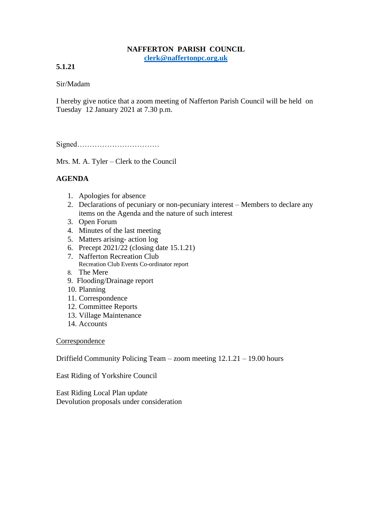## **NAFFERTON PARISH COUNCIL [clerk@naffertonpc.org.uk](mailto:clerk@naffertonpc.org.uk)**

**5.1.21**

Sir/Madam

I hereby give notice that a zoom meeting of Nafferton Parish Council will be held on Tuesday 12 January 2021 at 7.30 p.m.

Signed……………………………

Mrs. M. A. Tyler – Clerk to the Council

## **AGENDA**

- 1. Apologies for absence
- 2. Declarations of pecuniary or non-pecuniary interest Members to declare any items on the Agenda and the nature of such interest
- 3. Open Forum
- 4. Minutes of the last meeting
- 5. Matters arising- action log
- 6. Precept 2021/22 (closing date 15.1.21)
- 7. Nafferton Recreation Club Recreation Club Events Co-ordinator report
- 8. The Mere
- 9. Flooding/Drainage report
- 10. Planning
- 11. Correspondence
- 12. Committee Reports
- 13. Village Maintenance
- 14. Accounts

**Correspondence** 

Driffield Community Policing Team – zoom meeting 12.1.21 – 19.00 hours

East Riding of Yorkshire Council

East Riding Local Plan update Devolution proposals under consideration